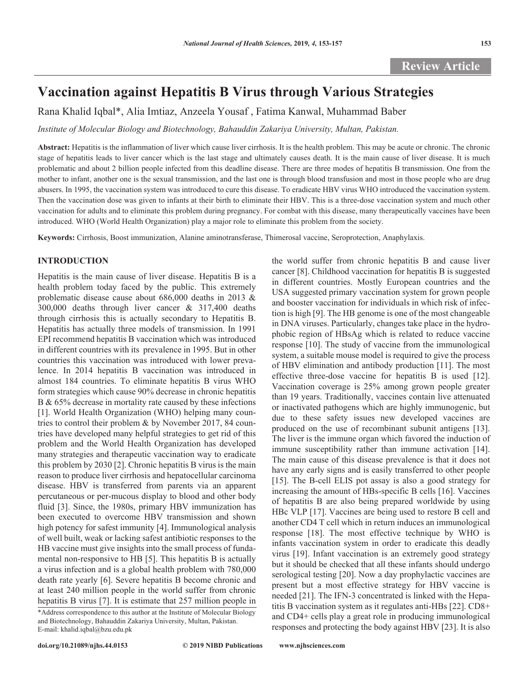# **Vaccination against Hepatitis B Virus through Various Strategies**

Rana Khalid Iqbal\*, Alia Imtiaz, Anzeela Yousaf , Fatima Kanwal, Muhammad Baber

*Institute of Molecular Biology and Biotechnology, Bahauddin Zakariya University, Multan, Pakistan.* 

**Abstract:** Hepatitis is the inflammation of liver which cause liver cirrhosis. It is the health problem. This may be acute or chronic. The chronic stage of hepatitis leads to liver cancer which is the last stage and ultimately causes death. It is the main cause of liver disease. It is much problematic and about 2 billion people infected from this deadline disease. There are three modes of hepatitis B transmission. One from the mother to infant, another one is the sexual transmission, and the last one is through blood transfusion and most in those people who are drug abusers. In 1995, the vaccination system was introduced to cure this disease. To eradicate HBV virus WHO introduced the vaccination system. Then the vaccination dose was given to infants at their birth to eliminate their HBV. This is a three-dose vaccination system and much other vaccination for adults and to eliminate this problem during pregnancy. For combat with this disease, many therapeutically vaccines have been introduced. WHO (World Health Organization) play a major role to eliminate this problem from the society.

**Keywords:** Cirrhosis, Boost immunization, Alanine aminotransferase, Thimerosal vaccine, Seroprotection, Anaphylaxis.

## **INTRODUCTION**

Hepatitis is the main cause of liver disease. Hepatitis B is a health problem today faced by the public. This extremely problematic disease cause about 686,000 deaths in 2013 & 300,000 deaths through liver cancer & 317,400 deaths through cirrhosis this is actually secondary to Hepatitis B. Hepatitis has actually three models of transmission. In 1991 EPI recommend hepatitis B vaccination which was introduced in different countries with its prevalence in 1995. But in other countries this vaccination was introduced with lower prevalence. In 2014 hepatitis B vaccination was introduced in almost 184 countries. To eliminate hepatitis B virus WHO form strategies which cause 90% decrease in chronic hepatitis B & 65% decrease in mortality rate caused by these infections [1]. World Health Organization (WHO) helping many countries to control their problem & by November 2017, 84 countries have developed many helpful strategies to get rid of this problem and the World Health Organization has developed many strategies and therapeutic vaccination way to eradicate this problem by 2030 [2]. Chronic hepatitis B virus is the main reason to produce liver cirrhosis and hepatocellular carcinoma disease. HBV is transferred from parents via an apparent percutaneous or per-mucous display to blood and other body fluid [3]. Since, the 1980s, primary HBV immunization has been executed to overcome HBV transmission and shown high potency for safest immunity [4]. Immunological analysis of well built, weak or lacking safest antibiotic responses to the HB vaccine must give insights into the small process of fundamental non-responsive to HB [5]. This hepatitis B is actually a virus infection and is a global health problem with 780,000 death rate yearly [6]. Severe hepatitis B become chronic and at least 240 million people in the world suffer from chronic hepatitis B virus [7]. It is estimate that 257 million people in

\*Address correspondence to this author at the Institute of Molecular Biology and Biotechnology, Bahauddin Zakariya University, Multan, Pakistan. E-mail: khalid.iqbal@bzu.edu.pk

the world suffer from chronic hepatitis B and cause liver cancer [8]. Childhood vaccination for hepatitis B is suggested in different countries. Mostly European countries and the USA suggested primary vaccination system for grown people and booster vaccination for individuals in which risk of infection is high [9]. The HB genome is one of the most changeable in DNA viruses. Particularly, changes take place in the hydrophobic region of HBsAg which is related to reduce vaccine response [10]. The study of vaccine from the immunological system, a suitable mouse model is required to give the process of HBV elimination and antibody production [11]. The most effective three-dose vaccine for hepatitis B is used [12]. Vaccination coverage is 25% among grown people greater than 19 years. Traditionally, vaccines contain live attenuated or inactivated pathogens which are highly immunogenic, but due to these safety issues new developed vaccines are produced on the use of recombinant subunit antigens [13]. The liver is the immune organ which favored the induction of immune susceptibility rather than immune activation [14]. The main cause of this disease prevalence is that it does not have any early signs and is easily transferred to other people [15]. The B-cell ELIS pot assay is also a good strategy for increasing the amount of HBs-specific B cells [16]. Vaccines of hepatitis B are also being prepared worldwide by using HBc VLP [17]. Vaccines are being used to restore B cell and another CD4 T cell which in return induces an immunological response [18]. The most effective technique by WHO is infants vaccination system in order to eradicate this deadly virus [19]. Infant vaccination is an extremely good strategy but it should be checked that all these infants should undergo serological testing [20]. Now a day prophylactic vaccines are present but a most effective strategy for HBV vaccine is needed [21]. The IFN-3 concentrated is linked with the Hepatitis B vaccination system as it regulates anti-HBs [22]. CD8+ and CD4+ cells play a great role in producing immunological responses and protecting the body against HBV [23]. It is also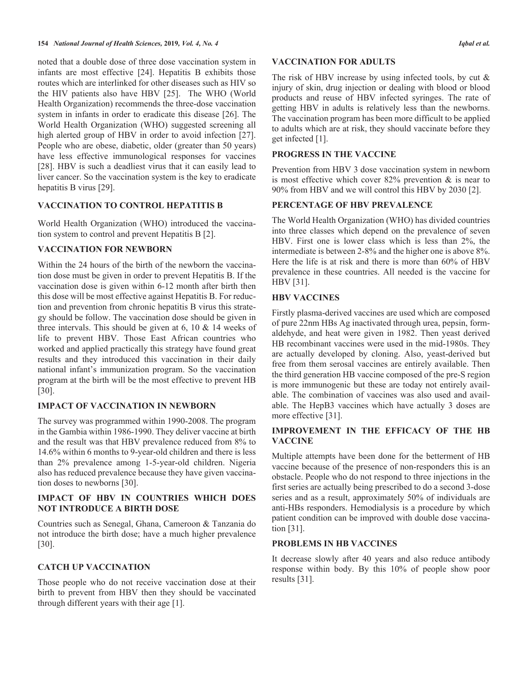noted that a double dose of three dose vaccination system in infants are most effective [24]. Hepatitis B exhibits those routes which are interlinked for other diseases such as HIV so the HIV patients also have HBV [25]. The WHO (World Health Organization) recommends the three-dose vaccination system in infants in order to eradicate this disease [26]. The World Health Organization (WHO) suggested screening all high alerted group of HBV in order to avoid infection [27]. People who are obese, diabetic, older (greater than 50 years) have less effective immunological responses for vaccines [28]. HBV is such a deadliest virus that it can easily lead to liver cancer. So the vaccination system is the key to eradicate hepatitis B virus [29].

## **VACCINATION TO CONTROL HEPATITIS B**

World Health Organization (WHO) introduced the vaccination system to control and prevent Hepatitis B [2].

## **VACCINATION FOR NEWBORN**

Within the 24 hours of the birth of the newborn the vaccination dose must be given in order to prevent Hepatitis B. If the vaccination dose is given within 6-12 month after birth then this dose will be most effective against Hepatitis B. For reduction and prevention from chronic hepatitis B virus this strategy should be follow. The vaccination dose should be given in three intervals. This should be given at 6, 10 & 14 weeks of life to prevent HBV. Those East African countries who worked and applied practically this strategy have found great results and they introduced this vaccination in their daily national infant's immunization program. So the vaccination program at the birth will be the most effective to prevent HB [30].

### **IMPACT OF VACCINATION IN NEWBORN**

The survey was programmed within 1990-2008. The program in the Gambia within 1986-1990. They deliver vaccine at birth and the result was that HBV prevalence reduced from 8% to 14.6% within 6 months to 9-year-old children and there is less than 2% prevalence among 1-5-year-old children. Nigeria also has reduced prevalence because they have given vaccination doses to newborns [30].

## **IMPACT OF HBV IN COUNTRIES WHICH DOES NOT INTRODUCE A BIRTH DOSE**

Countries such as Senegal, Ghana, Cameroon & Tanzania do not introduce the birth dose; have a much higher prevalence [30].

## **CATCH UP VACCINATION**

Those people who do not receive vaccination dose at their birth to prevent from HBV then they should be vaccinated through different years with their age [1].

#### **VACCINATION FOR ADULTS**

The risk of HBV increase by using infected tools, by cut  $\&$ injury of skin, drug injection or dealing with blood or blood products and reuse of HBV infected syringes. The rate of getting HBV in adults is relatively less than the newborns. The vaccination program has been more difficult to be applied to adults which are at risk, they should vaccinate before they get infected [1].

## **PROGRESS IN THE VACCINE**

Prevention from HBV 3 dose vaccination system in newborn is most effective which cover  $82\%$  prevention  $\&$  is near to 90% from HBV and we will control this HBV by 2030 [2].

## **PERCENTAGE OF HBV PREVALENCE**

The World Health Organization (WHO) has divided countries into three classes which depend on the prevalence of seven HBV. First one is lower class which is less than 2%, the intermediate is between 2-8% and the higher one is above 8%. Here the life is at risk and there is more than 60% of HBV prevalence in these countries. All needed is the vaccine for HBV [31].

## **HBV VACCINES**

Firstly plasma-derived vaccines are used which are composed of pure 22nm HBs Ag inactivated through urea, pepsin, formaldehyde, and heat were given in 1982. Then yeast derived HB recombinant vaccines were used in the mid-1980s. They are actually developed by cloning. Also, yeast-derived but free from them serosal vaccines are entirely available. Then the third generation HB vaccine composed of the pre-S region is more immunogenic but these are today not entirely available. The combination of vaccines was also used and available. The HepB3 vaccines which have actually 3 doses are more effective [31].

## **IMPROVEMENT IN THE EFFICACY OF THE HB VACCINE**

Multiple attempts have been done for the betterment of HB vaccine because of the presence of non-responders this is an obstacle. People who do not respond to three injections in the first series are actually being prescribed to do a second 3-dose series and as a result, approximately 50% of individuals are anti-HBs responders. Hemodialysis is a procedure by which patient condition can be improved with double dose vaccination [31].

## **PROBLEMS IN HB VACCINES**

It decrease slowly after 40 years and also reduce antibody response within body. By this 10% of people show poor results [31].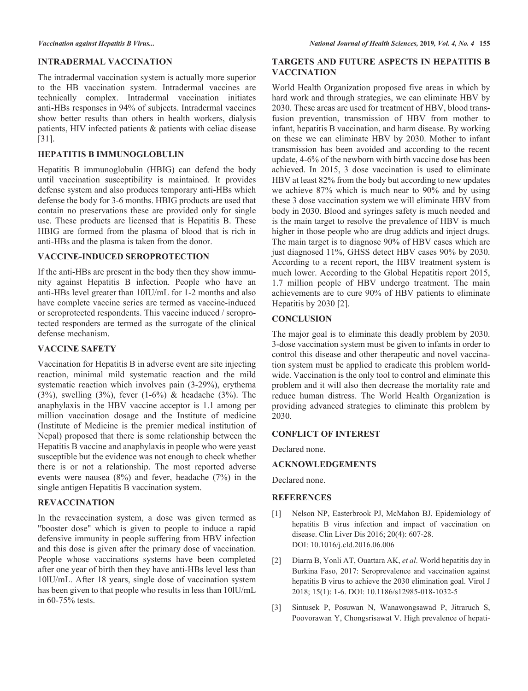#### **INTRADERMAL VACCINATION**

The intradermal vaccination system is actually more superior to the HB vaccination system. Intradermal vaccines are technically complex. Intradermal vaccination initiates anti-HBs responses in 94% of subjects. Intradermal vaccines show better results than others in health workers, dialysis patients, HIV infected patients & patients with celiac disease [31].

#### **HEPATITIS B IMMUNOGLOBULIN**

Hepatitis B immunoglobulin (HBIG) can defend the body until vaccination susceptibility is maintained. It provides defense system and also produces temporary anti-HBs which defense the body for 3-6 months. HBIG products are used that contain no preservations these are provided only for single use. These products are licensed that is Hepatitis B. These HBIG are formed from the plasma of blood that is rich in anti-HBs and the plasma is taken from the donor.

## **VACCINE-INDUCED SEROPROTECTION**

If the anti-HBs are present in the body then they show immunity against Hepatitis B infection. People who have an anti-HBs level greater than 10IU/mL for 1-2 months and also have complete vaccine series are termed as vaccine-induced or seroprotected respondents. This vaccine induced / seroprotected responders are termed as the surrogate of the clinical defense mechanism.

### **VACCINE SAFETY**

Vaccination for Hepatitis B in adverse event are site injecting reaction, minimal mild systematic reaction and the mild systematic reaction which involves pain (3-29%), erythema (3%), swelling (3%), fever (1-6%) & headache (3%). The anaphylaxis in the HBV vaccine acceptor is 1.1 among per million vaccination dosage and the Institute of medicine (Institute of Medicine is the premier medical institution of Nepal) proposed that there is some relationship between the Hepatitis B vaccine and anaphylaxis in people who were yeast susceptible but the evidence was not enough to check whether there is or not a relationship. The most reported adverse events were nausea (8%) and fever, headache (7%) in the single antigen Hepatitis B vaccination system.

## **REVACCINATION**

In the revaccination system, a dose was given termed as "booster dose" which is given to people to induce a rapid defensive immunity in people suffering from HBV infection and this dose is given after the primary dose of vaccination. People whose vaccinations systems have been completed after one year of birth then they have anti-HBs level less than 10lU/mL. After 18 years, single dose of vaccination system has been given to that people who results in less than 10lU/mL in 60-75% tests.

## **TARGETS AND FUTURE ASPECTS IN HEPATITIS B VACCINATION**

World Health Organization proposed five areas in which by hard work and through strategies, we can eliminate HBV by 2030. These areas are used for treatment of HBV, blood transfusion prevention, transmission of HBV from mother to infant, hepatitis B vaccination, and harm disease. By working on these we can eliminate HBV by 2030. Mother to infant transmission has been avoided and according to the recent update, 4-6% of the newborn with birth vaccine dose has been achieved. In 2015, 3 dose vaccination is used to eliminate HBV at least 82% from the body but according to new updates we achieve 87% which is much near to 90% and by using these 3 dose vaccination system we will eliminate HBV from body in 2030. Blood and syringes safety is much needed and is the main target to resolve the prevalence of HBV is much higher in those people who are drug addicts and inject drugs. The main target is to diagnose 90% of HBV cases which are just diagnosed 11%, GHSS detect HBV cases 90% by 2030. According to a recent report, the HBV treatment system is much lower. According to the Global Hepatitis report 2015, 1.7 million people of HBV undergo treatment. The main achievements are to cure 90% of HBV patients to eliminate Hepatitis by 2030 [2].

#### **CONCLUSION**

The major goal is to eliminate this deadly problem by 2030. 3-dose vaccination system must be given to infants in order to control this disease and other therapeutic and novel vaccination system must be applied to eradicate this problem worldwide. Vaccination is the only tool to control and eliminate this problem and it will also then decrease the mortality rate and reduce human distress. The World Health Organization is providing advanced strategies to eliminate this problem by 2030.

## **CONFLICT OF INTEREST**

Declared none.

#### **ACKNOWLEDGEMENTS**

Declared none.

#### **REFERENCES**

- [1] Nelson NP, Easterbrook PJ, McMahon BJ. Epidemiology of hepatitis B virus infection and impact of vaccination on disease. Clin Liver Dis 2016; 20(4): 607-28. DOI: 10.1016/j.cld.2016.06.006
- [2] Diarra B, Yonli AT, Ouattara AK, *et al*. World hepatitis day in Burkina Faso, 2017: Seroprevalence and vaccination against hepatitis B virus to achieve the 2030 elimination goal. Virol J 2018; 15(1): 1-6. DOI: 10.1186/s12985-018-1032-5
- [3] Sintusek P, Posuwan N, Wanawongsawad P, Jitraruch S, Poovorawan Y, Chongsrisawat V. High prevalence of hepati-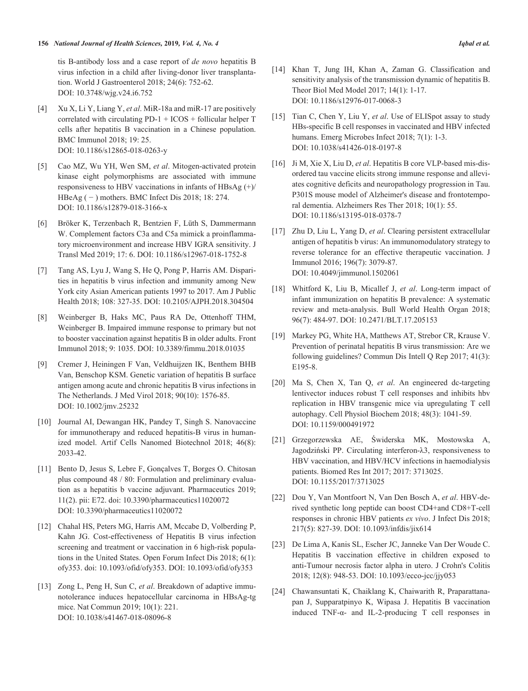#### **156** *National Journal of Health Sciences,* **2019***, Vol. 4, No. 4 Iqbal et al.*

tis B-antibody loss and a case report of *de novo* hepatitis B virus infection in a child after living-donor liver transplantation. World J Gastroenterol 2018; 24(6): 752-62. DOI: 10.3748/wjg.v24.i6.752

- [4] Xu X, Li Y, Liang Y, *et al*. MiR-18a and miR-17 are positively correlated with circulating PD-1 + ICOS + follicular helper T cells after hepatitis B vaccination in a Chinese population. BMC Immunol 2018; 19: 25. DOI: 10.1186/s12865-018-0263-y
- [5] Cao MZ, Wu YH, Wen SM, *et al*. Mitogen-activated protein kinase eight polymorphisms are associated with immune responsiveness to HBV vaccinations in infants of HBsAg  $(+)/$ HBeAg ( − ) mothers. BMC Infect Dis 2018; 18: 274. DOI: 10.1186/s12879-018-3166-x
- [6] Bröker K, Terzenbach R, Bentzien F, Lüth S, Dammermann W. Complement factors C3a and C5a mimick a proinflammatory microenvironment and increase HBV IGRA sensitivity. J Transl Med 2019; 17: 6. DOI: 10.1186/s12967-018-1752-8
- [7] Tang AS, Lyu J, Wang S, He Q, Pong P, Harris AM. Disparities in hepatitis b virus infection and immunity among New York city Asian American patients 1997 to 2017. Am J Public Health 2018; 108: 327-35. DOI: 10.2105/AJPH.2018.304504
- [8] Weinberger B, Haks MC, Paus RA De, Ottenhoff THM, Weinberger B. Impaired immune response to primary but not to booster vaccination against hepatitis B in older adults. Front Immunol 2018; 9: 1035. DOI: 10.3389/fimmu.2018.01035
- [9] Cremer J, Heiningen F Van, Veldhuijzen IK, Benthem BHB Van, Benschop KSM. Genetic variation of hepatitis B surface antigen among acute and chronic hepatitis B virus infections in The Netherlands. J Med Virol 2018; 90(10): 1576-85. DOI: 10.1002/jmv.25232
- [10] Journal AI, Dewangan HK, Pandey T, Singh S. Nanovaccine for immunotherapy and reduced hepatitis-B virus in humanized model. Artif Cells Nanomed Biotechnol 2018; 46(8): 2033-42.
- [11] Bento D, Jesus S, Lebre F, Gonçalves T, Borges O. Chitosan plus compound 48 / 80: Formulation and preliminary evaluation as a hepatitis b vaccine adjuvant. Pharmaceutics 2019; 11(2). pii: E72. doi: 10.3390/pharmaceutics11020072 DOI: 10.3390/pharmaceutics11020072
- [12] Chahal HS, Peters MG, Harris AM, Mccabe D, Volberding P, Kahn JG. Cost-effectiveness of Hepatitis B virus infection screening and treatment or vaccination in 6 high-risk populations in the United States. Open Forum Infect Dis 2018; 6(1): ofy353. doi: 10.1093/ofid/ofy353. DOI: 10.1093/ofid/ofy353
- [13] Zong L, Peng H, Sun C, *et al*. Breakdown of adaptive immunotolerance induces hepatocellular carcinoma in HBsAg-tg mice. Nat Commun 2019; 10(1): 221. DOI: 10.1038/s41467-018-08096-8
- [14] Khan T, Jung IH, Khan A, Zaman G. Classification and sensitivity analysis of the transmission dynamic of hepatitis B. Theor Biol Med Model 2017; 14(1): 1-17. DOI: 10.1186/s12976-017-0068-3
- [15] Tian C, Chen Y, Liu Y, *et al*. Use of ELISpot assay to study HBs-specific B cell responses in vaccinated and HBV infected humans. Emerg Microbes Infect 2018; 7(1): 1-3. DOI: 10.1038/s41426-018-0197-8
- [16] Ji M, Xie X, Liu D, *et al*. Hepatitis B core VLP-based mis-disordered tau vaccine elicits strong immune response and alleviates cognitive deficits and neuropathology progression in Tau. P301S mouse model of Alzheimer's disease and frontotemporal dementia. Alzheimers Res Ther 2018; 10(1): 55. DOI: 10.1186/s13195-018-0378-7
- [17] Zhu D, Liu L, Yang D, *et al*. Clearing persistent extracellular antigen of hepatitis b virus: An immunomodulatory strategy to reverse tolerance for an effective therapeutic vaccination. J Immunol 2016; 196(7): 3079-87. DOI: 10.4049/jimmunol.1502061
- [18] Whitford K, Liu B, Micallef J, *et al*. Long-term impact of infant immunization on hepatitis B prevalence: A systematic review and meta-analysis. Bull World Health Organ 2018; 96(7): 484-97. DOI: 10.2471/BLT.17.205153
- [19] Markey PG, White HA, Matthews AT, Strebor CR, Krause V. Prevention of perinatal hepatitis B virus transmission: Are we following guidelines? Commun Dis Intell Q Rep 2017; 41(3): E195-8.
- [20] Ma S, Chen X, Tan Q, *et al*. An engineered dc-targeting lentivector induces robust T cell responses and inhibits hbv replication in HBV transgenic mice via upregulating T cell autophagy. Cell Physiol Biochem 2018; 48(3): 1041-59. DOI: 10.1159/000491972
- [21] Grzegorzewska AE, Świderska MK, Mostowska A, Jagodziński PP. Circulating interferon-λ3, responsiveness to HBV vaccination, and HBV/HCV infections in haemodialysis patients. Biomed Res Int 2017; 2017: 3713025. DOI: 10.1155/2017/3713025
- [22] Dou Y, Van Montfoort N, Van Den Bosch A, *et al*. HBV-derived synthetic long peptide can boost CD4+and CD8+T-cell responses in chronic HBV patients *ex vivo*. J Infect Dis 2018; 217(5): 827-39. DOI: 10.1093/infdis/jix614
- [23] De Lima A, Kanis SL, Escher JC, Janneke Van Der Woude C. Hepatitis B vaccination effective in children exposed to anti-Tumour necrosis factor alpha in utero. J Crohn's Colitis 2018; 12(8): 948-53. DOI: 10.1093/ecco-jcc/jjy053
- [24] Chawansuntati K, Chaiklang K, Chaiwarith R, Praparattanapan J, Supparatpinyo K, Wipasa J. Hepatitis B vaccination induced TNF-α- and IL-2-producing T cell responses in